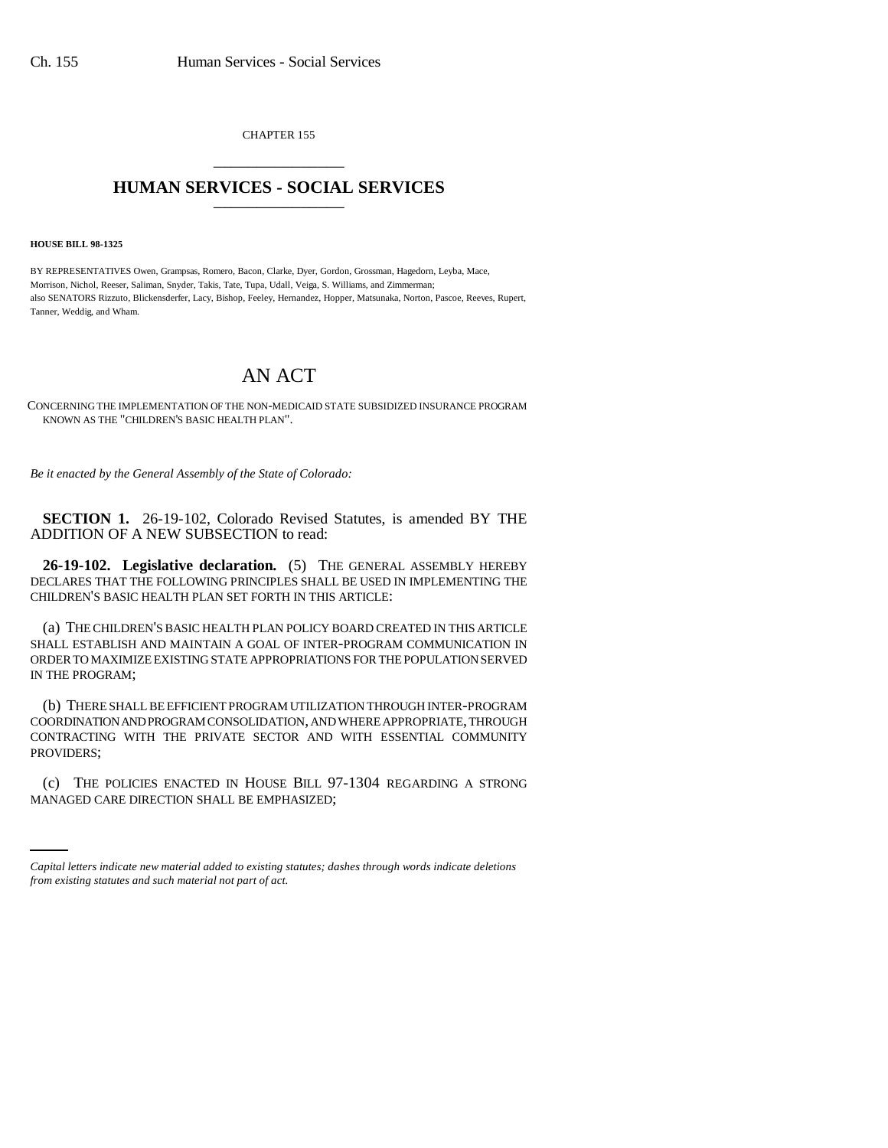CHAPTER 155 \_\_\_\_\_\_\_\_\_\_\_\_\_\_\_

## **HUMAN SERVICES - SOCIAL SERVICES** \_\_\_\_\_\_\_\_\_\_\_\_\_\_\_

**HOUSE BILL 98-1325**

BY REPRESENTATIVES Owen, Grampsas, Romero, Bacon, Clarke, Dyer, Gordon, Grossman, Hagedorn, Leyba, Mace, Morrison, Nichol, Reeser, Saliman, Snyder, Takis, Tate, Tupa, Udall, Veiga, S. Williams, and Zimmerman; also SENATORS Rizzuto, Blickensderfer, Lacy, Bishop, Feeley, Hernandez, Hopper, Matsunaka, Norton, Pascoe, Reeves, Rupert, Tanner, Weddig, and Wham.

## AN ACT

CONCERNING THE IMPLEMENTATION OF THE NON-MEDICAID STATE SUBSIDIZED INSURANCE PROGRAM KNOWN AS THE "CHILDREN'S BASIC HEALTH PLAN".

*Be it enacted by the General Assembly of the State of Colorado:*

**SECTION 1.** 26-19-102, Colorado Revised Statutes, is amended BY THE ADDITION OF A NEW SUBSECTION to read:

**26-19-102. Legislative declaration.** (5) THE GENERAL ASSEMBLY HEREBY DECLARES THAT THE FOLLOWING PRINCIPLES SHALL BE USED IN IMPLEMENTING THE CHILDREN'S BASIC HEALTH PLAN SET FORTH IN THIS ARTICLE:

(a) THE CHILDREN'S BASIC HEALTH PLAN POLICY BOARD CREATED IN THIS ARTICLE SHALL ESTABLISH AND MAINTAIN A GOAL OF INTER-PROGRAM COMMUNICATION IN ORDER TO MAXIMIZE EXISTING STATE APPROPRIATIONS FOR THE POPULATION SERVED IN THE PROGRAM;

(b) THERE SHALL BE EFFICIENT PROGRAM UTILIZATION THROUGH INTER-PROGRAM COORDINATION AND PROGRAM CONSOLIDATION, AND WHERE APPROPRIATE, THROUGH CONTRACTING WITH THE PRIVATE SECTOR AND WITH ESSENTIAL COMMUNITY PROVIDERS;

(c) THE POLICIES ENACTED IN HOUSE BILL 97-1304 REGARDING A STRONG MANAGED CARE DIRECTION SHALL BE EMPHASIZED;

*Capital letters indicate new material added to existing statutes; dashes through words indicate deletions from existing statutes and such material not part of act.*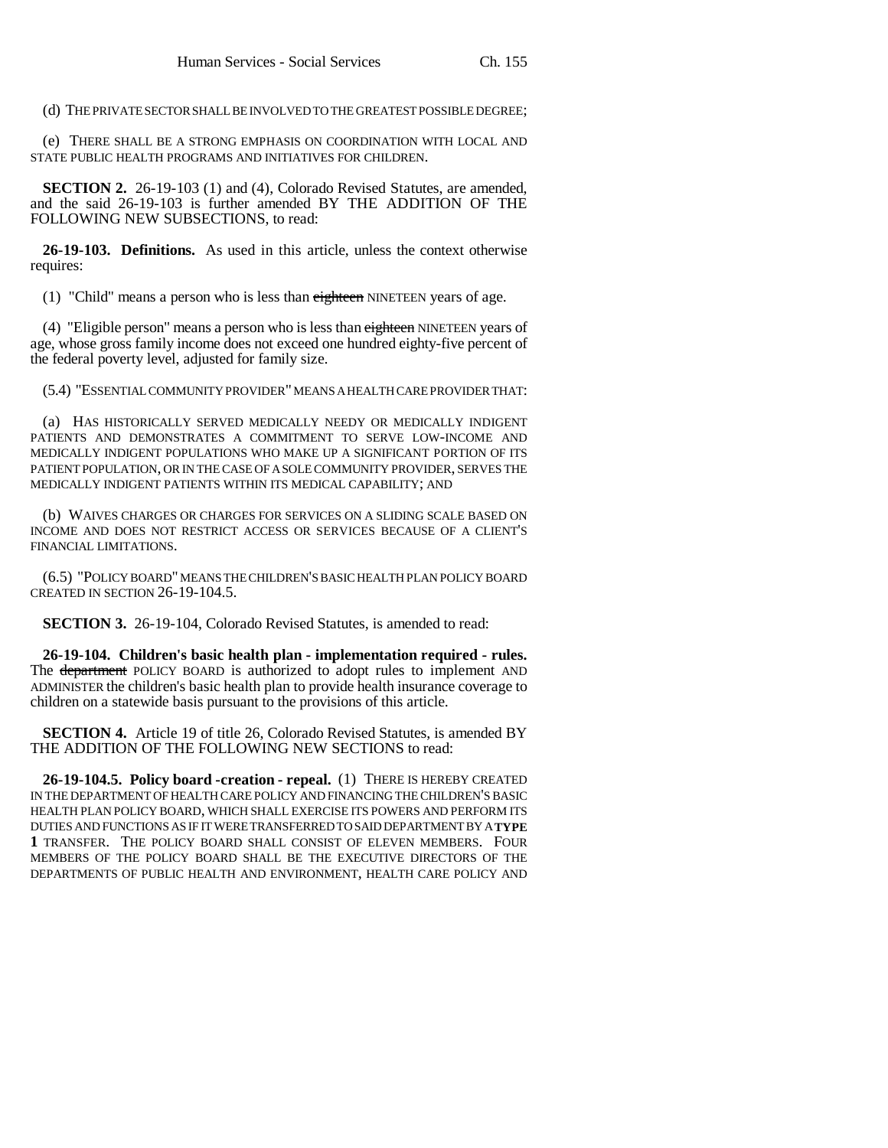(d) THE PRIVATE SECTOR SHALL BE INVOLVED TO THE GREATEST POSSIBLE DEGREE;

(e) THERE SHALL BE A STRONG EMPHASIS ON COORDINATION WITH LOCAL AND STATE PUBLIC HEALTH PROGRAMS AND INITIATIVES FOR CHILDREN.

**SECTION 2.** 26-19-103 (1) and (4), Colorado Revised Statutes, are amended, and the said 26-19-103 is further amended BY THE ADDITION OF THE FOLLOWING NEW SUBSECTIONS, to read:

**26-19-103. Definitions.** As used in this article, unless the context otherwise requires:

(1) "Child" means a person who is less than eighteen NINETEEN years of age.

(4) "Eligible person" means a person who is less than eighteen NINETEEN years of age, whose gross family income does not exceed one hundred eighty-five percent of the federal poverty level, adjusted for family size.

(5.4) "ESSENTIAL COMMUNITY PROVIDER" MEANS A HEALTH CARE PROVIDER THAT:

(a) HAS HISTORICALLY SERVED MEDICALLY NEEDY OR MEDICALLY INDIGENT PATIENTS AND DEMONSTRATES A COMMITMENT TO SERVE LOW-INCOME AND MEDICALLY INDIGENT POPULATIONS WHO MAKE UP A SIGNIFICANT PORTION OF ITS PATIENT POPULATION, OR IN THE CASE OF A SOLE COMMUNITY PROVIDER, SERVES THE MEDICALLY INDIGENT PATIENTS WITHIN ITS MEDICAL CAPABILITY; AND

(b) WAIVES CHARGES OR CHARGES FOR SERVICES ON A SLIDING SCALE BASED ON INCOME AND DOES NOT RESTRICT ACCESS OR SERVICES BECAUSE OF A CLIENT'S FINANCIAL LIMITATIONS.

(6.5) "POLICY BOARD" MEANS THE CHILDREN'S BASIC HEALTH PLAN POLICY BOARD CREATED IN SECTION 26-19-104.5.

**SECTION 3.** 26-19-104, Colorado Revised Statutes, is amended to read:

**26-19-104. Children's basic health plan - implementation required - rules.** The <del>department</del> POLICY BOARD is authorized to adopt rules to implement AND ADMINISTER the children's basic health plan to provide health insurance coverage to children on a statewide basis pursuant to the provisions of this article.

**SECTION 4.** Article 19 of title 26, Colorado Revised Statutes, is amended BY THE ADDITION OF THE FOLLOWING NEW SECTIONS to read:

**26-19-104.5. Policy board -creation - repeal.** (1) THERE IS HEREBY CREATED IN THE DEPARTMENT OF HEALTH CARE POLICY AND FINANCING THE CHILDREN'S BASIC HEALTH PLAN POLICY BOARD, WHICH SHALL EXERCISE ITS POWERS AND PERFORM ITS DUTIES AND FUNCTIONS AS IF IT WERE TRANSFERRED TO SAID DEPARTMENT BY A **TYPE 1** TRANSFER. THE POLICY BOARD SHALL CONSIST OF ELEVEN MEMBERS. FOUR MEMBERS OF THE POLICY BOARD SHALL BE THE EXECUTIVE DIRECTORS OF THE DEPARTMENTS OF PUBLIC HEALTH AND ENVIRONMENT, HEALTH CARE POLICY AND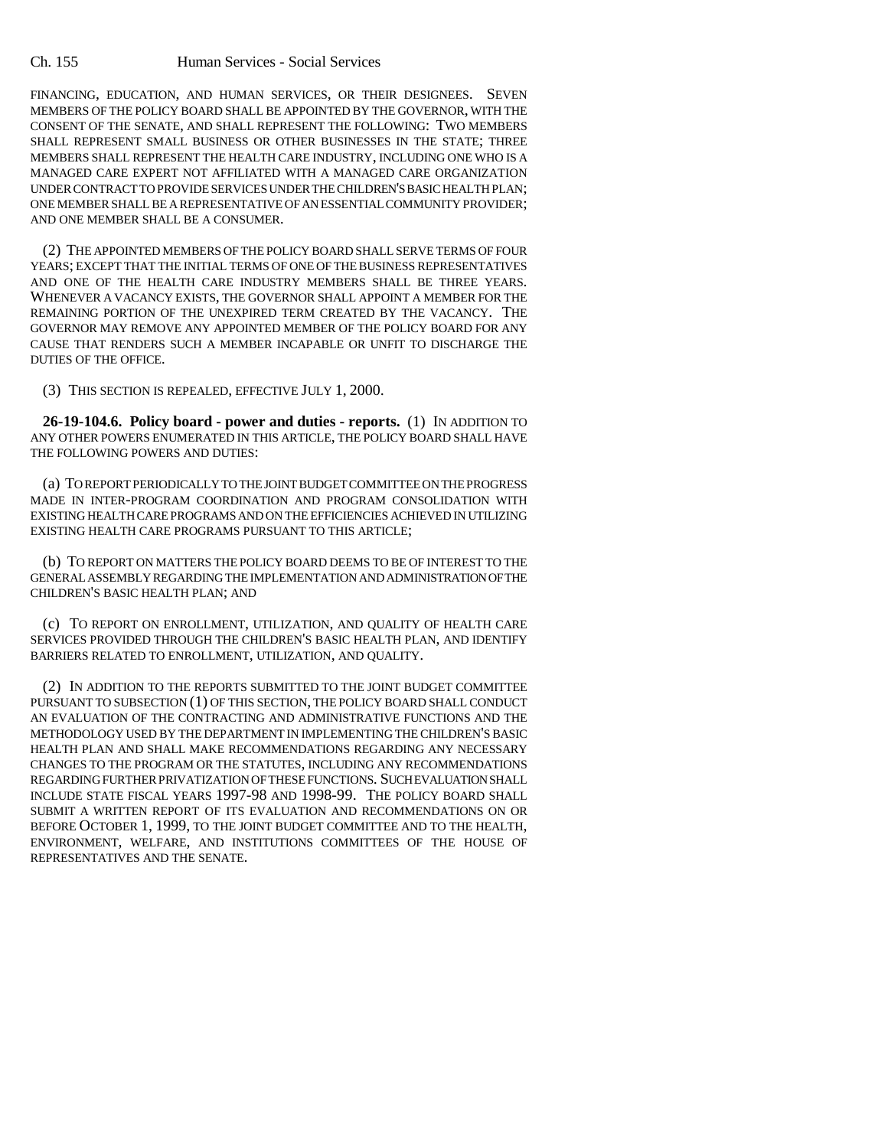## Ch. 155 Human Services - Social Services

FINANCING, EDUCATION, AND HUMAN SERVICES, OR THEIR DESIGNEES. SEVEN MEMBERS OF THE POLICY BOARD SHALL BE APPOINTED BY THE GOVERNOR, WITH THE CONSENT OF THE SENATE, AND SHALL REPRESENT THE FOLLOWING: TWO MEMBERS SHALL REPRESENT SMALL BUSINESS OR OTHER BUSINESSES IN THE STATE; THREE MEMBERS SHALL REPRESENT THE HEALTH CARE INDUSTRY, INCLUDING ONE WHO IS A MANAGED CARE EXPERT NOT AFFILIATED WITH A MANAGED CARE ORGANIZATION UNDER CONTRACT TO PROVIDE SERVICES UNDER THE CHILDREN'S BASIC HEALTH PLAN; ONE MEMBER SHALL BE A REPRESENTATIVE OF AN ESSENTIAL COMMUNITY PROVIDER; AND ONE MEMBER SHALL BE A CONSUMER.

(2) THE APPOINTED MEMBERS OF THE POLICY BOARD SHALL SERVE TERMS OF FOUR YEARS; EXCEPT THAT THE INITIAL TERMS OF ONE OF THE BUSINESS REPRESENTATIVES AND ONE OF THE HEALTH CARE INDUSTRY MEMBERS SHALL BE THREE YEARS. WHENEVER A VACANCY EXISTS, THE GOVERNOR SHALL APPOINT A MEMBER FOR THE REMAINING PORTION OF THE UNEXPIRED TERM CREATED BY THE VACANCY. THE GOVERNOR MAY REMOVE ANY APPOINTED MEMBER OF THE POLICY BOARD FOR ANY CAUSE THAT RENDERS SUCH A MEMBER INCAPABLE OR UNFIT TO DISCHARGE THE DUTIES OF THE OFFICE.

(3) THIS SECTION IS REPEALED, EFFECTIVE JULY 1, 2000.

**26-19-104.6. Policy board - power and duties - reports.** (1) IN ADDITION TO ANY OTHER POWERS ENUMERATED IN THIS ARTICLE, THE POLICY BOARD SHALL HAVE THE FOLLOWING POWERS AND DUTIES:

(a) TO REPORT PERIODICALLY TO THE JOINT BUDGET COMMITTEE ON THE PROGRESS MADE IN INTER-PROGRAM COORDINATION AND PROGRAM CONSOLIDATION WITH EXISTING HEALTH CARE PROGRAMS AND ON THE EFFICIENCIES ACHIEVED IN UTILIZING EXISTING HEALTH CARE PROGRAMS PURSUANT TO THIS ARTICLE;

(b) TO REPORT ON MATTERS THE POLICY BOARD DEEMS TO BE OF INTEREST TO THE GENERAL ASSEMBLY REGARDING THE IMPLEMENTATION AND ADMINISTRATION OF THE CHILDREN'S BASIC HEALTH PLAN; AND

(c) TO REPORT ON ENROLLMENT, UTILIZATION, AND QUALITY OF HEALTH CARE SERVICES PROVIDED THROUGH THE CHILDREN'S BASIC HEALTH PLAN, AND IDENTIFY BARRIERS RELATED TO ENROLLMENT, UTILIZATION, AND QUALITY.

(2) IN ADDITION TO THE REPORTS SUBMITTED TO THE JOINT BUDGET COMMITTEE PURSUANT TO SUBSECTION (1) OF THIS SECTION, THE POLICY BOARD SHALL CONDUCT AN EVALUATION OF THE CONTRACTING AND ADMINISTRATIVE FUNCTIONS AND THE METHODOLOGY USED BY THE DEPARTMENT IN IMPLEMENTING THE CHILDREN'S BASIC HEALTH PLAN AND SHALL MAKE RECOMMENDATIONS REGARDING ANY NECESSARY CHANGES TO THE PROGRAM OR THE STATUTES, INCLUDING ANY RECOMMENDATIONS REGARDING FURTHER PRIVATIZATION OF THESE FUNCTIONS. SUCH EVALUATION SHALL INCLUDE STATE FISCAL YEARS 1997-98 AND 1998-99. THE POLICY BOARD SHALL SUBMIT A WRITTEN REPORT OF ITS EVALUATION AND RECOMMENDATIONS ON OR BEFORE OCTOBER 1, 1999, TO THE JOINT BUDGET COMMITTEE AND TO THE HEALTH, ENVIRONMENT, WELFARE, AND INSTITUTIONS COMMITTEES OF THE HOUSE OF REPRESENTATIVES AND THE SENATE.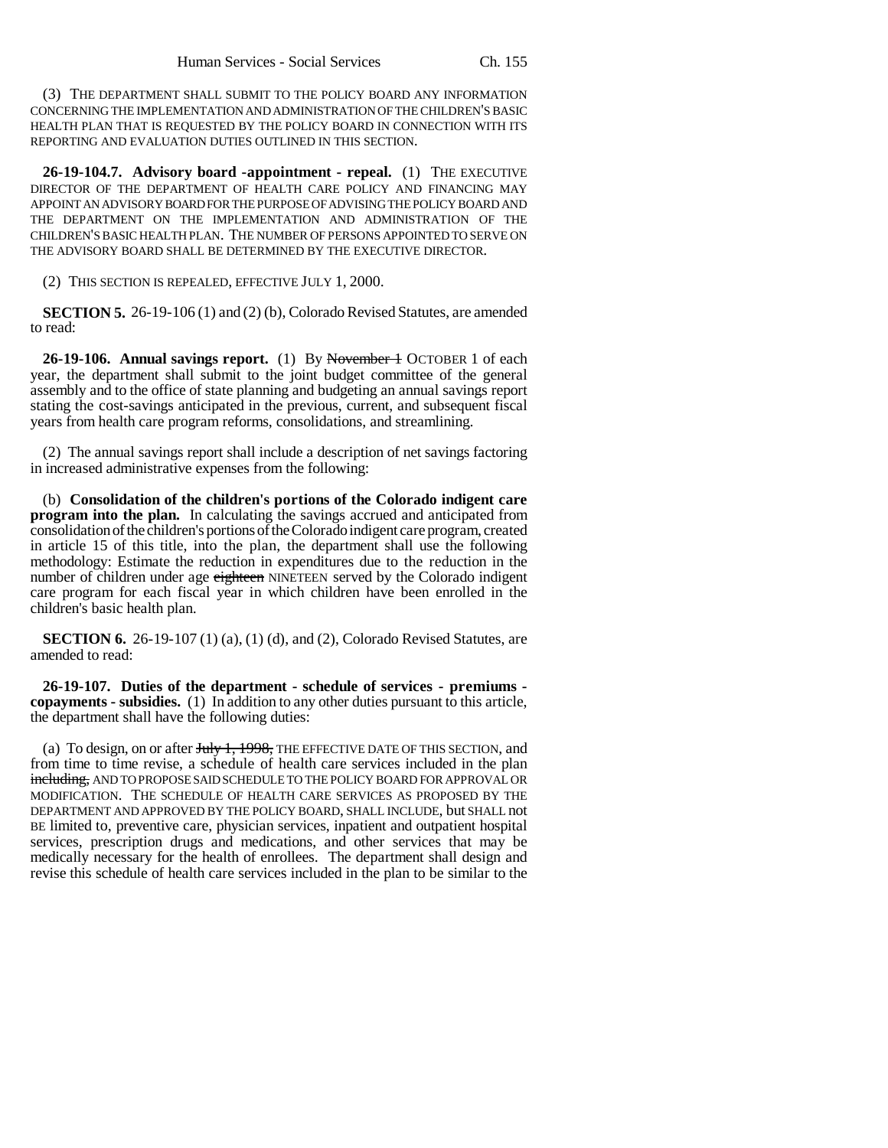(3) THE DEPARTMENT SHALL SUBMIT TO THE POLICY BOARD ANY INFORMATION CONCERNING THE IMPLEMENTATION AND ADMINISTRATION OF THE CHILDREN'S BASIC HEALTH PLAN THAT IS REQUESTED BY THE POLICY BOARD IN CONNECTION WITH ITS REPORTING AND EVALUATION DUTIES OUTLINED IN THIS SECTION.

**26-19-104.7. Advisory board -appointment - repeal.** (1) THE EXECUTIVE DIRECTOR OF THE DEPARTMENT OF HEALTH CARE POLICY AND FINANCING MAY APPOINT AN ADVISORY BOARD FOR THE PURPOSE OF ADVISING THE POLICY BOARD AND THE DEPARTMENT ON THE IMPLEMENTATION AND ADMINISTRATION OF THE CHILDREN'S BASIC HEALTH PLAN. THE NUMBER OF PERSONS APPOINTED TO SERVE ON THE ADVISORY BOARD SHALL BE DETERMINED BY THE EXECUTIVE DIRECTOR.

(2) THIS SECTION IS REPEALED, EFFECTIVE JULY 1, 2000.

**SECTION 5.** 26-19-106 (1) and (2) (b), Colorado Revised Statutes, are amended to read:

**26-19-106. Annual savings report.** (1) By November 1 OCTOBER 1 of each year, the department shall submit to the joint budget committee of the general assembly and to the office of state planning and budgeting an annual savings report stating the cost-savings anticipated in the previous, current, and subsequent fiscal years from health care program reforms, consolidations, and streamlining.

(2) The annual savings report shall include a description of net savings factoring in increased administrative expenses from the following:

(b) **Consolidation of the children's portions of the Colorado indigent care program into the plan.** In calculating the savings accrued and anticipated from consolidation of the children's portions of the Colorado indigent care program, created in article 15 of this title, into the plan, the department shall use the following methodology: Estimate the reduction in expenditures due to the reduction in the number of children under age eighteen NINETEEN served by the Colorado indigent care program for each fiscal year in which children have been enrolled in the children's basic health plan.

**SECTION 6.** 26-19-107 (1) (a), (1) (d), and (2), Colorado Revised Statutes, are amended to read:

**26-19-107. Duties of the department - schedule of services - premiums copayments - subsidies.** (1) In addition to any other duties pursuant to this article, the department shall have the following duties:

(a) To design, on or after  $J_{\text{t}}$   $1, 1998$ , THE EFFECTIVE DATE OF THIS SECTION, and from time to time revise, a schedule of health care services included in the plan including, AND TO PROPOSE SAID SCHEDULE TO THE POLICY BOARD FOR APPROVAL OR MODIFICATION. THE SCHEDULE OF HEALTH CARE SERVICES AS PROPOSED BY THE DEPARTMENT AND APPROVED BY THE POLICY BOARD, SHALL INCLUDE, but SHALL not BE limited to, preventive care, physician services, inpatient and outpatient hospital services, prescription drugs and medications, and other services that may be medically necessary for the health of enrollees. The department shall design and revise this schedule of health care services included in the plan to be similar to the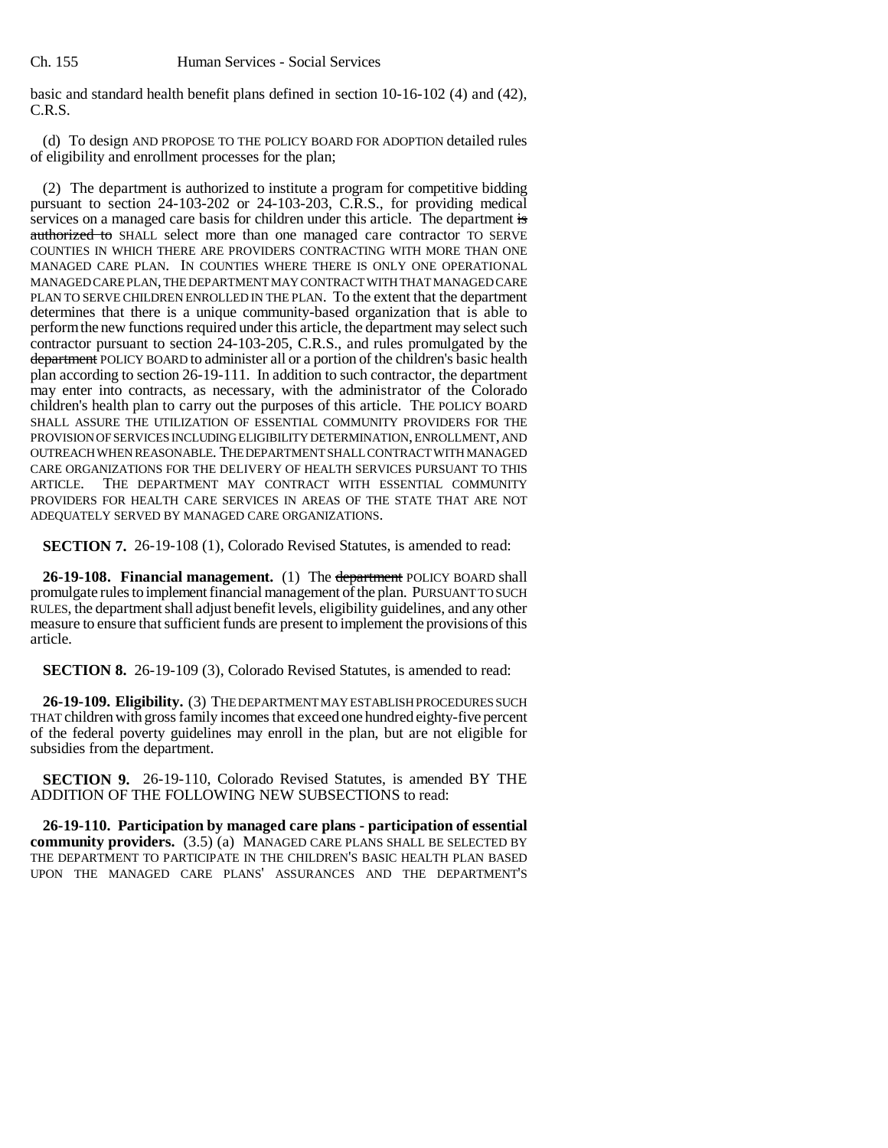basic and standard health benefit plans defined in section 10-16-102 (4) and (42), C.R.S.

(d) To design AND PROPOSE TO THE POLICY BOARD FOR ADOPTION detailed rules of eligibility and enrollment processes for the plan;

(2) The department is authorized to institute a program for competitive bidding pursuant to section 24-103-202 or 24-103-203, C.R.S., for providing medical services on a managed care basis for children under this article. The department is authorized to SHALL select more than one managed care contractor TO SERVE COUNTIES IN WHICH THERE ARE PROVIDERS CONTRACTING WITH MORE THAN ONE MANAGED CARE PLAN. IN COUNTIES WHERE THERE IS ONLY ONE OPERATIONAL MANAGED CARE PLAN, THE DEPARTMENT MAY CONTRACT WITH THAT MANAGED CARE PLAN TO SERVE CHILDREN ENROLLED IN THE PLAN. To the extent that the department determines that there is a unique community-based organization that is able to perform the new functions required under this article, the department may select such contractor pursuant to section 24-103-205, C.R.S., and rules promulgated by the department POLICY BOARD to administer all or a portion of the children's basic health plan according to section 26-19-111. In addition to such contractor, the department may enter into contracts, as necessary, with the administrator of the Colorado children's health plan to carry out the purposes of this article. THE POLICY BOARD SHALL ASSURE THE UTILIZATION OF ESSENTIAL COMMUNITY PROVIDERS FOR THE PROVISION OF SERVICES INCLUDING ELIGIBILITY DETERMINATION, ENROLLMENT, AND OUTREACH WHEN REASONABLE. THE DEPARTMENT SHALL CONTRACT WITH MANAGED CARE ORGANIZATIONS FOR THE DELIVERY OF HEALTH SERVICES PURSUANT TO THIS ARTICLE. THE DEPARTMENT MAY CONTRACT WITH ESSENTIAL COMMUNITY PROVIDERS FOR HEALTH CARE SERVICES IN AREAS OF THE STATE THAT ARE NOT ADEQUATELY SERVED BY MANAGED CARE ORGANIZATIONS.

**SECTION 7.** 26-19-108 (1), Colorado Revised Statutes, is amended to read:

**26-19-108. Financial management.** (1) The department POLICY BOARD shall promulgate rules to implement financial management of the plan. PURSUANT TO SUCH RULES, the department shall adjust benefit levels, eligibility guidelines, and any other measure to ensure that sufficient funds are present to implement the provisions of this article.

**SECTION 8.** 26-19-109 (3), Colorado Revised Statutes, is amended to read:

**26-19-109. Eligibility.** (3) THE DEPARTMENT MAY ESTABLISH PROCEDURES SUCH THAT children with gross family incomes that exceed one hundred eighty-five percent of the federal poverty guidelines may enroll in the plan, but are not eligible for subsidies from the department.

**SECTION 9.** 26-19-110, Colorado Revised Statutes, is amended BY THE ADDITION OF THE FOLLOWING NEW SUBSECTIONS to read:

**26-19-110. Participation by managed care plans - participation of essential community providers.** (3.5) (a) MANAGED CARE PLANS SHALL BE SELECTED BY THE DEPARTMENT TO PARTICIPATE IN THE CHILDREN'S BASIC HEALTH PLAN BASED UPON THE MANAGED CARE PLANS' ASSURANCES AND THE DEPARTMENT'S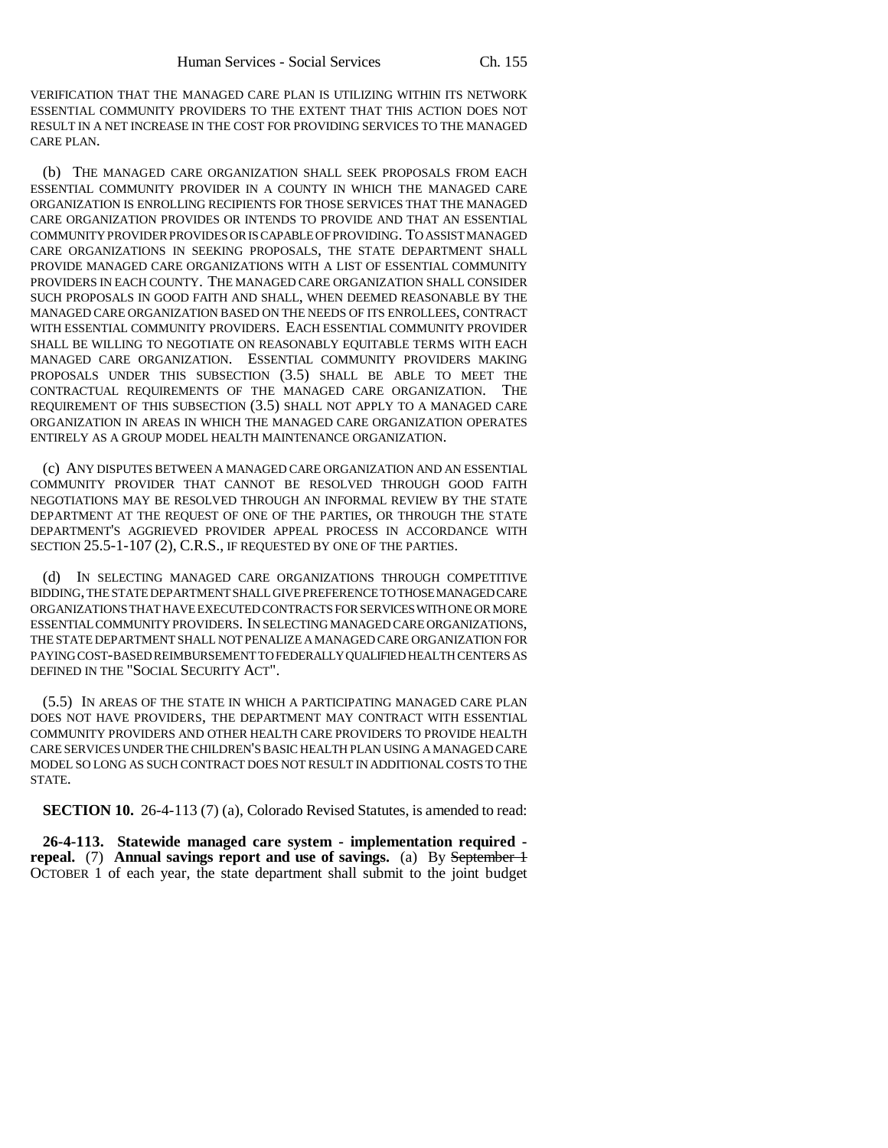VERIFICATION THAT THE MANAGED CARE PLAN IS UTILIZING WITHIN ITS NETWORK ESSENTIAL COMMUNITY PROVIDERS TO THE EXTENT THAT THIS ACTION DOES NOT RESULT IN A NET INCREASE IN THE COST FOR PROVIDING SERVICES TO THE MANAGED CARE PLAN.

(b) THE MANAGED CARE ORGANIZATION SHALL SEEK PROPOSALS FROM EACH ESSENTIAL COMMUNITY PROVIDER IN A COUNTY IN WHICH THE MANAGED CARE ORGANIZATION IS ENROLLING RECIPIENTS FOR THOSE SERVICES THAT THE MANAGED CARE ORGANIZATION PROVIDES OR INTENDS TO PROVIDE AND THAT AN ESSENTIAL COMMUNITY PROVIDER PROVIDES OR IS CAPABLE OF PROVIDING. TO ASSIST MANAGED CARE ORGANIZATIONS IN SEEKING PROPOSALS, THE STATE DEPARTMENT SHALL PROVIDE MANAGED CARE ORGANIZATIONS WITH A LIST OF ESSENTIAL COMMUNITY PROVIDERS IN EACH COUNTY. THE MANAGED CARE ORGANIZATION SHALL CONSIDER SUCH PROPOSALS IN GOOD FAITH AND SHALL, WHEN DEEMED REASONABLE BY THE MANAGED CARE ORGANIZATION BASED ON THE NEEDS OF ITS ENROLLEES, CONTRACT WITH ESSENTIAL COMMUNITY PROVIDERS. EACH ESSENTIAL COMMUNITY PROVIDER SHALL BE WILLING TO NEGOTIATE ON REASONABLY EQUITABLE TERMS WITH EACH MANAGED CARE ORGANIZATION. ESSENTIAL COMMUNITY PROVIDERS MAKING PROPOSALS UNDER THIS SUBSECTION (3.5) SHALL BE ABLE TO MEET THE CONTRACTUAL REQUIREMENTS OF THE MANAGED CARE ORGANIZATION. THE REQUIREMENT OF THIS SUBSECTION (3.5) SHALL NOT APPLY TO A MANAGED CARE ORGANIZATION IN AREAS IN WHICH THE MANAGED CARE ORGANIZATION OPERATES ENTIRELY AS A GROUP MODEL HEALTH MAINTENANCE ORGANIZATION.

(c) ANY DISPUTES BETWEEN A MANAGED CARE ORGANIZATION AND AN ESSENTIAL COMMUNITY PROVIDER THAT CANNOT BE RESOLVED THROUGH GOOD FAITH NEGOTIATIONS MAY BE RESOLVED THROUGH AN INFORMAL REVIEW BY THE STATE DEPARTMENT AT THE REQUEST OF ONE OF THE PARTIES, OR THROUGH THE STATE DEPARTMENT'S AGGRIEVED PROVIDER APPEAL PROCESS IN ACCORDANCE WITH SECTION 25.5-1-107 (2), C.R.S., IF REQUESTED BY ONE OF THE PARTIES.

IN SELECTING MANAGED CARE ORGANIZATIONS THROUGH COMPETITIVE BIDDING, THE STATE DEPARTMENT SHALL GIVE PREFERENCE TO THOSE MANAGED CARE ORGANIZATIONS THAT HAVE EXECUTED CONTRACTS FOR SERVICES WITH ONE OR MORE ESSENTIAL COMMUNITY PROVIDERS. IN SELECTING MANAGED CARE ORGANIZATIONS, THE STATE DEPARTMENT SHALL NOT PENALIZE A MANAGED CARE ORGANIZATION FOR PAYING COST-BASED REIMBURSEMENT TO FEDERALLY QUALIFIED HEALTH CENTERS AS DEFINED IN THE "SOCIAL SECURITY ACT".

(5.5) IN AREAS OF THE STATE IN WHICH A PARTICIPATING MANAGED CARE PLAN DOES NOT HAVE PROVIDERS, THE DEPARTMENT MAY CONTRACT WITH ESSENTIAL COMMUNITY PROVIDERS AND OTHER HEALTH CARE PROVIDERS TO PROVIDE HEALTH CARE SERVICES UNDER THE CHILDREN'S BASIC HEALTH PLAN USING A MANAGED CARE MODEL SO LONG AS SUCH CONTRACT DOES NOT RESULT IN ADDITIONAL COSTS TO THE STATE.

**SECTION 10.** 26-4-113 (7) (a), Colorado Revised Statutes, is amended to read:

**26-4-113. Statewide managed care system - implementation required repeal.** (7) **Annual savings report and use of savings.** (a) By September 1 OCTOBER 1 of each year, the state department shall submit to the joint budget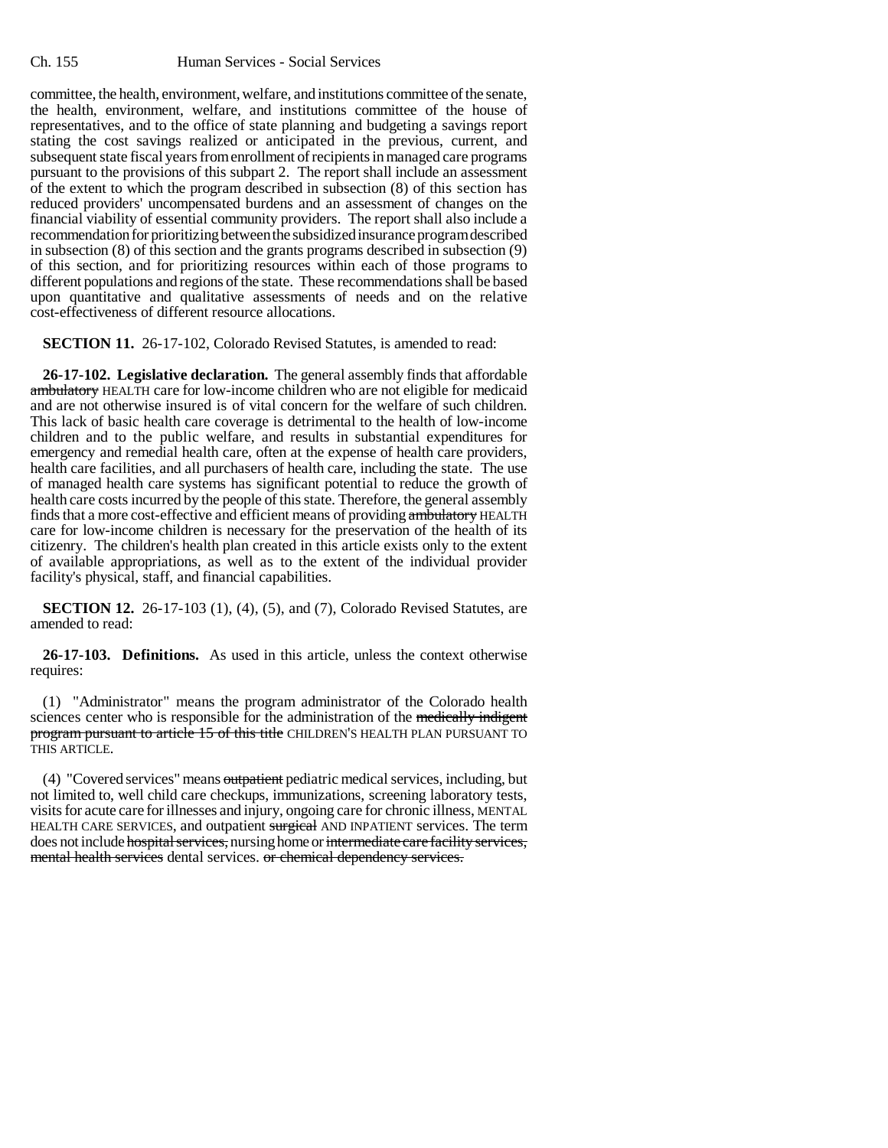committee, the health, environment, welfare, and institutions committee of the senate, the health, environment, welfare, and institutions committee of the house of representatives, and to the office of state planning and budgeting a savings report stating the cost savings realized or anticipated in the previous, current, and subsequent state fiscal years from enrollment of recipients in managed care programs pursuant to the provisions of this subpart 2. The report shall include an assessment of the extent to which the program described in subsection (8) of this section has reduced providers' uncompensated burdens and an assessment of changes on the financial viability of essential community providers. The report shall also include a recommendation for prioritizing between the subsidized insurance program described in subsection (8) of this section and the grants programs described in subsection (9) of this section, and for prioritizing resources within each of those programs to different populations and regions of the state. These recommendations shall be based upon quantitative and qualitative assessments of needs and on the relative cost-effectiveness of different resource allocations.

**SECTION 11.** 26-17-102, Colorado Revised Statutes, is amended to read:

**26-17-102. Legislative declaration.** The general assembly finds that affordable ambulatory HEALTH care for low-income children who are not eligible for medicaid and are not otherwise insured is of vital concern for the welfare of such children. This lack of basic health care coverage is detrimental to the health of low-income children and to the public welfare, and results in substantial expenditures for emergency and remedial health care, often at the expense of health care providers, health care facilities, and all purchasers of health care, including the state. The use of managed health care systems has significant potential to reduce the growth of health care costs incurred by the people of this state. Therefore, the general assembly finds that a more cost-effective and efficient means of providing ambulatory HEALTH care for low-income children is necessary for the preservation of the health of its citizenry. The children's health plan created in this article exists only to the extent of available appropriations, as well as to the extent of the individual provider facility's physical, staff, and financial capabilities.

**SECTION 12.** 26-17-103 (1), (4), (5), and (7), Colorado Revised Statutes, are amended to read:

**26-17-103. Definitions.** As used in this article, unless the context otherwise requires:

(1) "Administrator" means the program administrator of the Colorado health sciences center who is responsible for the administration of the medically indigent program pursuant to article 15 of this title CHILDREN'S HEALTH PLAN PURSUANT TO THIS ARTICLE.

(4) "Covered services" means outpatient pediatric medical services, including, but not limited to, well child care checkups, immunizations, screening laboratory tests, visits for acute care for illnesses and injury, ongoing care for chronic illness, MENTAL HEALTH CARE SERVICES, and outpatient surgical AND INPATIENT services. The term does not include hospital services, nursing home or intermediate care facility services, mental health services dental services, or chemical dependency services.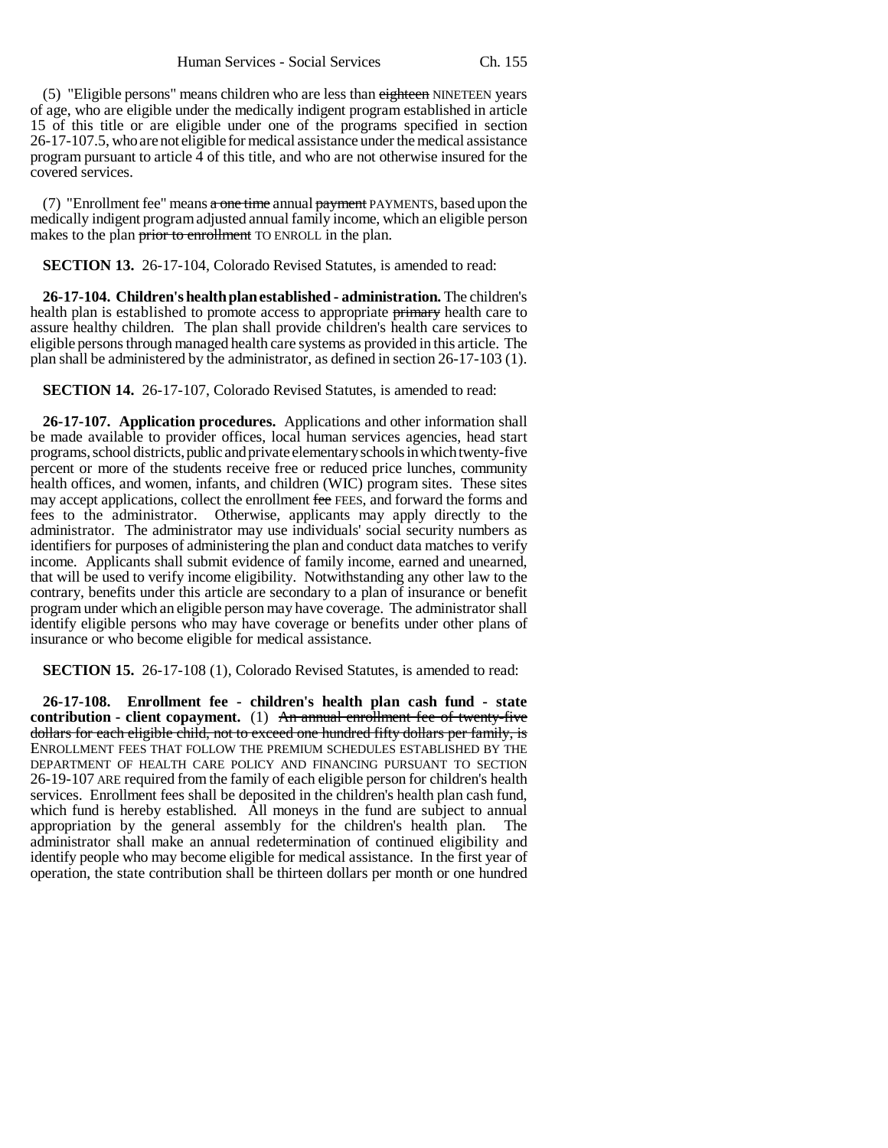(5) "Eligible persons" means children who are less than eighteen NINETEEN years of age, who are eligible under the medically indigent program established in article 15 of this title or are eligible under one of the programs specified in section 26-17-107.5, who are not eligible for medical assistance under the medical assistance program pursuant to article 4 of this title, and who are not otherwise insured for the covered services.

(7) "Enrollment fee" means  $a$  one time annual payment PAYMENTS, based upon the medically indigent program adjusted annual family income, which an eligible person makes to the plan prior to enrollment TO ENROLL in the plan.

**SECTION 13.** 26-17-104, Colorado Revised Statutes, is amended to read:

**26-17-104. Children's health plan established - administration.** The children's health plan is established to promote access to appropriate primary health care to assure healthy children. The plan shall provide children's health care services to eligible persons through managed health care systems as provided in this article. The plan shall be administered by the administrator, as defined in section 26-17-103 (1).

**SECTION 14.** 26-17-107, Colorado Revised Statutes, is amended to read:

**26-17-107. Application procedures.** Applications and other information shall be made available to provider offices, local human services agencies, head start programs, school districts, public and private elementary schools in which twenty-five percent or more of the students receive free or reduced price lunches, community health offices, and women, infants, and children (WIC) program sites. These sites may accept applications, collect the enrollment fee FEES, and forward the forms and fees to the administrator. Otherwise, applicants may apply directly to the administrator. The administrator may use individuals' social security numbers as identifiers for purposes of administering the plan and conduct data matches to verify income. Applicants shall submit evidence of family income, earned and unearned, that will be used to verify income eligibility. Notwithstanding any other law to the contrary, benefits under this article are secondary to a plan of insurance or benefit program under which an eligible person may have coverage. The administrator shall identify eligible persons who may have coverage or benefits under other plans of insurance or who become eligible for medical assistance.

**SECTION 15.** 26-17-108 (1), Colorado Revised Statutes, is amended to read:

**26-17-108. Enrollment fee - children's health plan cash fund - state contribution - client copayment.** (1) An annual enrollment fee of twenty-five dollars for each eligible child, not to exceed one hundred fifty dollars per family, is ENROLLMENT FEES THAT FOLLOW THE PREMIUM SCHEDULES ESTABLISHED BY THE DEPARTMENT OF HEALTH CARE POLICY AND FINANCING PURSUANT TO SECTION 26-19-107 ARE required from the family of each eligible person for children's health services. Enrollment fees shall be deposited in the children's health plan cash fund, which fund is hereby established. All moneys in the fund are subject to annual appropriation by the general assembly for the children's health plan. The administrator shall make an annual redetermination of continued eligibility and identify people who may become eligible for medical assistance. In the first year of operation, the state contribution shall be thirteen dollars per month or one hundred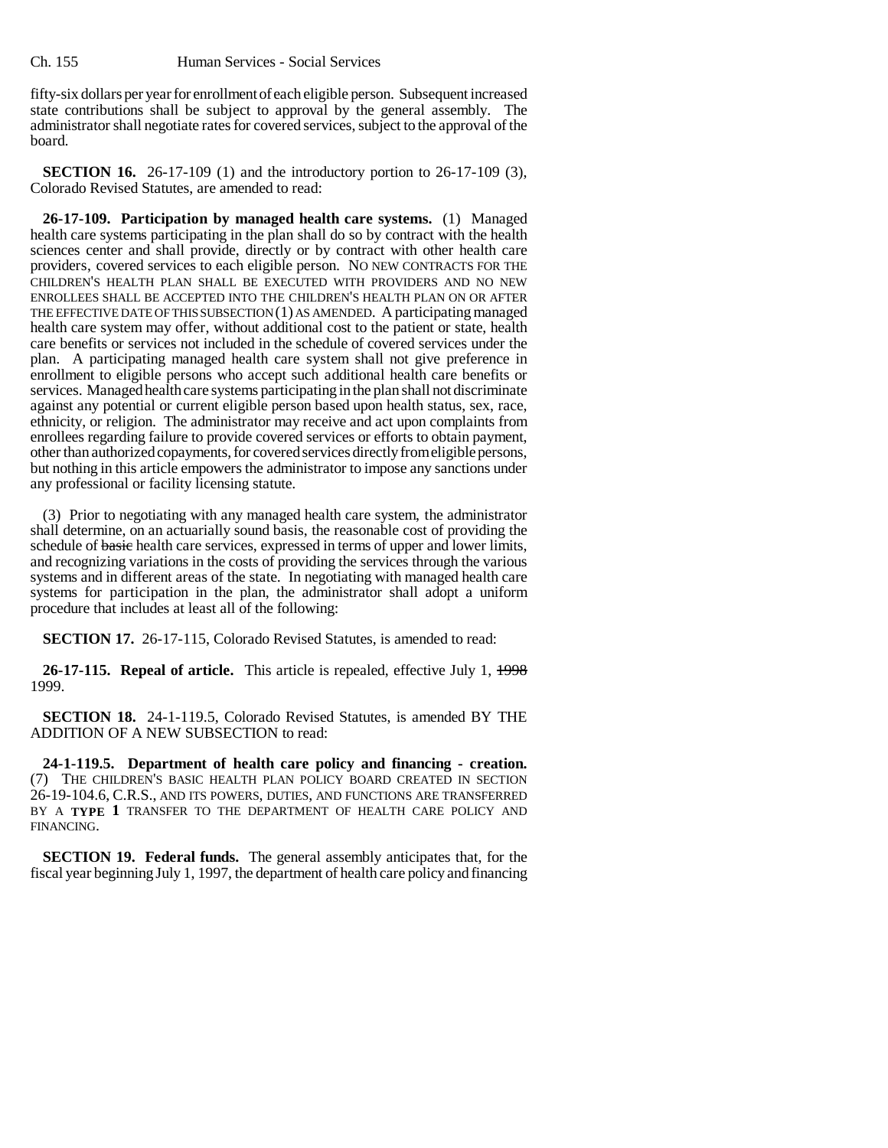fifty-six dollars per year for enrollment of each eligible person. Subsequent increased state contributions shall be subject to approval by the general assembly. The administrator shall negotiate rates for covered services, subject to the approval of the board.

**SECTION 16.** 26-17-109 (1) and the introductory portion to 26-17-109 (3), Colorado Revised Statutes, are amended to read:

**26-17-109. Participation by managed health care systems.** (1) Managed health care systems participating in the plan shall do so by contract with the health sciences center and shall provide, directly or by contract with other health care providers, covered services to each eligible person. NO NEW CONTRACTS FOR THE CHILDREN'S HEALTH PLAN SHALL BE EXECUTED WITH PROVIDERS AND NO NEW ENROLLEES SHALL BE ACCEPTED INTO THE CHILDREN'S HEALTH PLAN ON OR AFTER THE EFFECTIVE DATE OF THIS SUBSECTION (1) AS AMENDED. A participating managed health care system may offer, without additional cost to the patient or state, health care benefits or services not included in the schedule of covered services under the plan. A participating managed health care system shall not give preference in enrollment to eligible persons who accept such additional health care benefits or services. Managed health care systems participating in the plan shall not discriminate against any potential or current eligible person based upon health status, sex, race, ethnicity, or religion. The administrator may receive and act upon complaints from enrollees regarding failure to provide covered services or efforts to obtain payment, other than authorized copayments, for covered services directly from eligible persons, but nothing in this article empowers the administrator to impose any sanctions under any professional or facility licensing statute.

(3) Prior to negotiating with any managed health care system, the administrator shall determine, on an actuarially sound basis, the reasonable cost of providing the schedule of basic health care services, expressed in terms of upper and lower limits, and recognizing variations in the costs of providing the services through the various systems and in different areas of the state. In negotiating with managed health care systems for participation in the plan, the administrator shall adopt a uniform procedure that includes at least all of the following:

**SECTION 17.** 26-17-115, Colorado Revised Statutes, is amended to read:

**26-17-115. Repeal of article.** This article is repealed, effective July 1, 1998 1999.

**SECTION 18.** 24-1-119.5, Colorado Revised Statutes, is amended BY THE ADDITION OF A NEW SUBSECTION to read:

**24-1-119.5. Department of health care policy and financing - creation.** (7) THE CHILDREN'S BASIC HEALTH PLAN POLICY BOARD CREATED IN SECTION 26-19-104.6, C.R.S., AND ITS POWERS, DUTIES, AND FUNCTIONS ARE TRANSFERRED BY A **TYPE 1** TRANSFER TO THE DEPARTMENT OF HEALTH CARE POLICY AND FINANCING.

**SECTION 19. Federal funds.** The general assembly anticipates that, for the fiscal year beginning July 1, 1997, the department of health care policy and financing